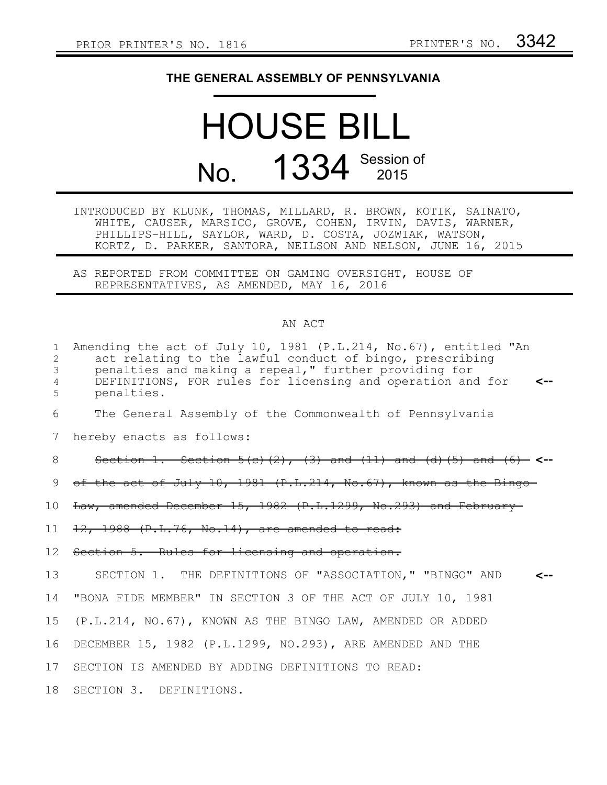## **THE GENERAL ASSEMBLY OF PENNSYLVANIA**

## HOUSE BILL No. 1334 Session of

INTRODUCED BY KLUNK, THOMAS, MILLARD, R. BROWN, KOTIK, SAINATO, WHITE, CAUSER, MARSICO, GROVE, COHEN, IRVIN, DAVIS, WARNER, PHILLIPS-HILL, SAYLOR, WARD, D. COSTA, JOZWIAK, WATSON, KORTZ, D. PARKER, SANTORA, NEILSON AND NELSON, JUNE 16, 2015

AS REPORTED FROM COMMITTEE ON GAMING OVERSIGHT, HOUSE OF REPRESENTATIVES, AS AMENDED, MAY 16, 2016

## AN ACT

| $\mathbf{1}$<br>2<br>3<br>4<br>5 | Amending the act of July 10, 1981 (P.L.214, No.67), entitled "An<br>act relating to the lawful conduct of bingo, prescribing<br>penalties and making a repeal," further providing for<br>DEFINITIONS, FOR rules for licensing and operation and for<br><--<br>penalties. |
|----------------------------------|--------------------------------------------------------------------------------------------------------------------------------------------------------------------------------------------------------------------------------------------------------------------------|
| 6                                | The General Assembly of the Commonwealth of Pennsylvania                                                                                                                                                                                                                 |
| 7                                | hereby enacts as follows:                                                                                                                                                                                                                                                |
| 8                                | Section 1. Section $5( c)$ $(2)$ , $(3)$ and $(11)$ and $( d)$ $(5)$ and $(6)$ <-                                                                                                                                                                                        |
| 9                                | of the act of July 10, 1981 $(P.L.214, No.67)$ , known as the Bingo-                                                                                                                                                                                                     |
| 10                               | Law, amended December 15, 1982 (P.L.1299, No.293) and February                                                                                                                                                                                                           |
| 11                               | 12, 1988 (P.L.76, No.14), are amended to read:                                                                                                                                                                                                                           |
| 12                               | Section 5. Rules for licensing and operation.                                                                                                                                                                                                                            |
| 13                               | SECTION 1. THE DEFINITIONS OF "ASSOCIATION," "BINGO" AND                                                                                                                                                                                                                 |
| 14                               | "BONA FIDE MEMBER" IN SECTION 3 OF THE ACT OF JULY 10, 1981                                                                                                                                                                                                              |
| 15 <sub>1</sub>                  | (P.L.214, NO.67), KNOWN AS THE BINGO LAW, AMENDED OR ADDED                                                                                                                                                                                                               |
| 16                               | DECEMBER 15, 1982 (P.L.1299, NO.293), ARE AMENDED AND THE                                                                                                                                                                                                                |
| 17 <sub>2</sub>                  | SECTION IS AMENDED BY ADDING DEFINITIONS TO READ:                                                                                                                                                                                                                        |
| 18                               | SECTION 3. DEFINITIONS.                                                                                                                                                                                                                                                  |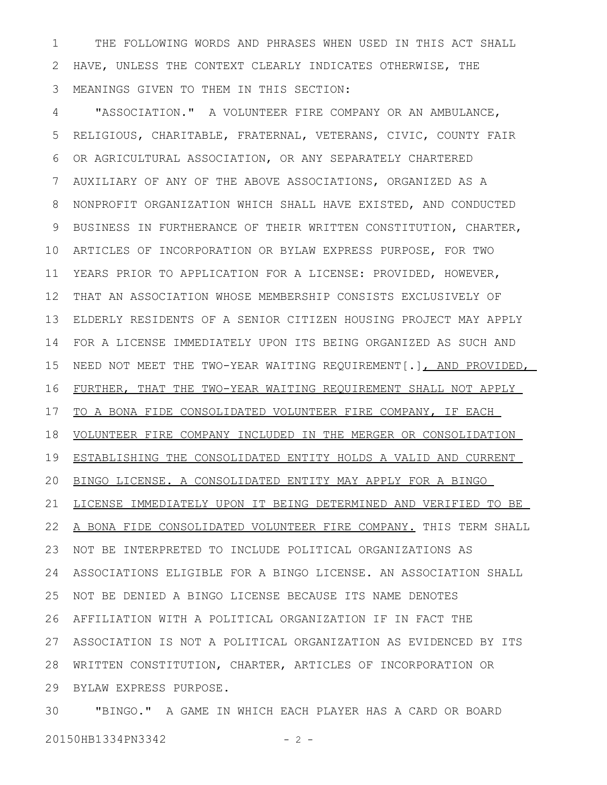THE FOLLOWING WORDS AND PHRASES WHEN USED IN THIS ACT SHALL HAVE, UNLESS THE CONTEXT CLEARLY INDICATES OTHERWISE, THE MEANINGS GIVEN TO THEM IN THIS SECTION: 1 2 3

"ASSOCIATION." A VOLUNTEER FIRE COMPANY OR AN AMBULANCE, RELIGIOUS, CHARITABLE, FRATERNAL, VETERANS, CIVIC, COUNTY FAIR OR AGRICULTURAL ASSOCIATION, OR ANY SEPARATELY CHARTERED AUXILIARY OF ANY OF THE ABOVE ASSOCIATIONS, ORGANIZED AS A NONPROFIT ORGANIZATION WHICH SHALL HAVE EXISTED, AND CONDUCTED BUSINESS IN FURTHERANCE OF THEIR WRITTEN CONSTITUTION, CHARTER, ARTICLES OF INCORPORATION OR BYLAW EXPRESS PURPOSE, FOR TWO 10 YEARS PRIOR TO APPLICATION FOR A LICENSE: PROVIDED, HOWEVER, THAT AN ASSOCIATION WHOSE MEMBERSHIP CONSISTS EXCLUSIVELY OF ELDERLY RESIDENTS OF A SENIOR CITIZEN HOUSING PROJECT MAY APPLY FOR A LICENSE IMMEDIATELY UPON ITS BEING ORGANIZED AS SUCH AND 14 NEED NOT MEET THE TWO-YEAR WAITING REQUIREMENT[.], AND PROVIDED, FURTHER, THAT THE TWO-YEAR WAITING REQUIREMENT SHALL NOT APPLY TO A BONA FIDE CONSOLIDATED VOLUNTEER FIRE COMPANY, IF EACH VOLUNTEER FIRE COMPANY INCLUDED IN THE MERGER OR CONSOLIDATION 19 ESTABLISHING THE CONSOLIDATED ENTITY HOLDS A VALID AND CURRENT 20 BINGO LICENSE. A CONSOLIDATED ENTITY MAY APPLY FOR A BINGO LICENSE IMMEDIATELY UPON IT BEING DETERMINED AND VERIFIED TO BE 22 A BONA FIDE CONSOLIDATED VOLUNTEER FIRE COMPANY. THIS TERM SHALL NOT BE INTERPRETED TO INCLUDE POLITICAL ORGANIZATIONS AS 23 ASSOCIATIONS ELIGIBLE FOR A BINGO LICENSE. AN ASSOCIATION SHALL 24 NOT BE DENIED A BINGO LICENSE BECAUSE ITS NAME DENOTES AFFILIATION WITH A POLITICAL ORGANIZATION IF IN FACT THE 26 ASSOCIATION IS NOT A POLITICAL ORGANIZATION AS EVIDENCED BY ITS 27 WRITTEN CONSTITUTION, CHARTER, ARTICLES OF INCORPORATION OR 28 BYLAW EXPRESS PURPOSE. 29 4 5 6 7 8 9 11 12 13 15 16 17 18 21 25

"BINGO." A GAME IN WHICH EACH PLAYER HAS A CARD OR BOARD 20150HB1334PN3342 - 2 -30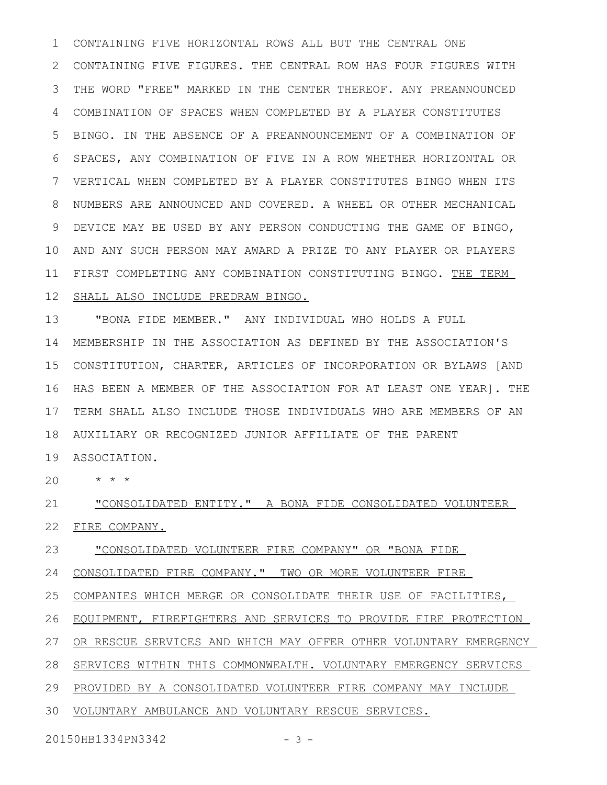CONTAINING FIVE HORIZONTAL ROWS ALL BUT THE CENTRAL ONE CONTAINING FIVE FIGURES. THE CENTRAL ROW HAS FOUR FIGURES WITH 2 THE WORD "FREE" MARKED IN THE CENTER THEREOF. ANY PREANNOUNCED COMBINATION OF SPACES WHEN COMPLETED BY A PLAYER CONSTITUTES BINGO. IN THE ABSENCE OF A PREANNOUNCEMENT OF A COMBINATION OF SPACES, ANY COMBINATION OF FIVE IN A ROW WHETHER HORIZONTAL OR VERTICAL WHEN COMPLETED BY A PLAYER CONSTITUTES BINGO WHEN ITS NUMBERS ARE ANNOUNCED AND COVERED. A WHEEL OR OTHER MECHANICAL DEVICE MAY BE USED BY ANY PERSON CONDUCTING THE GAME OF BINGO, AND ANY SUCH PERSON MAY AWARD A PRIZE TO ANY PLAYER OR PLAYERS 10 11 FIRST COMPLETING ANY COMBINATION CONSTITUTING BINGO. THE TERM 1 3 4 5 6 7 8 9

## 12 SHALL ALSO INCLUDE PREDRAW BINGO.

"BONA FIDE MEMBER." ANY INDIVIDUAL WHO HOLDS A FULL MEMBERSHIP IN THE ASSOCIATION AS DEFINED BY THE ASSOCIATION'S CONSTITUTION, CHARTER, ARTICLES OF INCORPORATION OR BYLAWS [AND 16 HAS BEEN A MEMBER OF THE ASSOCIATION FOR AT LEAST ONE YEAR]. THE 17 TERM SHALL ALSO INCLUDE THOSE INDIVIDUALS WHO ARE MEMBERS OF AN AUXILIARY OR RECOGNIZED JUNIOR AFFILIATE OF THE PARENT 18 13 14 15

ASSOCIATION. 19

\* \* \* 20

"CONSOLIDATED ENTITY." A BONA FIDE CONSOLIDATED VOLUNTEER FIRE COMPANY. 21 22

"CONSOLIDATED VOLUNTEER FIRE COMPANY" OR "BONA FIDE 23

CONSOLIDATED FIRE COMPANY." TWO OR MORE VOLUNTEER FIRE 24

COMPANIES WHICH MERGE OR CONSOLIDATE THEIR USE OF FACILITIES, 25

EQUIPMENT, FIREFIGHTERS AND SERVICES TO PROVIDE FIRE PROTECTION 26

OR RESCUE SERVICES AND WHICH MAY OFFER OTHER VOLUNTARY EMERGENCY 27

28 SERVICES WITHIN THIS COMMONWEALTH. VOLUNTARY EMERGENCY SERVICES

29 PROVIDED BY A CONSOLIDATED VOLUNTEER FIRE COMPANY MAY INCLUDE

30 VOLUNTARY AMBULANCE AND VOLUNTARY RESCUE SERVICES.

20150HB1334PN3342 - 3 -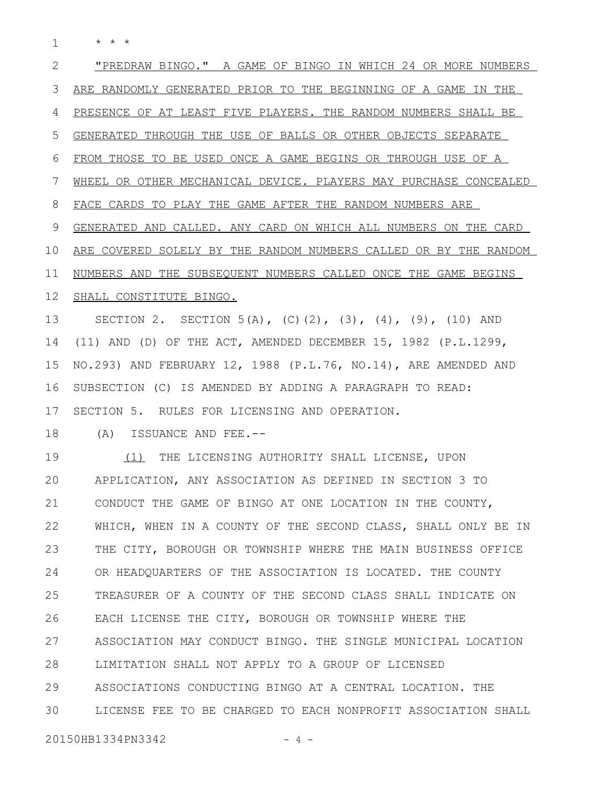\* \* \* 1

"PREDRAW BINGO." A GAME OF BINGO IN WHICH 24 OR MORE NUMBERS ARE RANDOMLY GENERATED PRIOR TO THE BEGINNING OF A GAME IN THE PRESENCE OF AT LEAST FIVE PLAYERS. THE RANDOM NUMBERS SHALL BE GENERATED THROUGH THE USE OF BALLS OR OTHER OBJECTS SEPARATE FROM THOSE TO BE USED ONCE A GAME BEGINS OR THROUGH USE OF A WHEEL OR OTHER MECHANICAL DEVICE. PLAYERS MAY PURCHASE CONCEALED FACE CARDS TO PLAY THE GAME AFTER THE RANDOM NUMBERS ARE GENERATED AND CALLED. ANY CARD ON WHICH ALL NUMBERS ON THE CARD ARE COVERED SOLELY BY THE RANDOM NUMBERS CALLED OR BY THE RANDOM NUMBERS AND THE SUBSEQUENT NUMBERS CALLED ONCE THE GAME BEGINS SHALL CONSTITUTE BINGO. SECTION 2. SECTION 5(A),  $(C)$ (2), (3), (4), (9), (10) AND (11) AND (D) OF THE ACT, AMENDED DECEMBER 15, 1982 (P.L.1299, NO.293) AND FEBRUARY 12, 1988 (P.L.76, NO.14), ARE AMENDED AND SUBSECTION (C) IS AMENDED BY ADDING A PARAGRAPH TO READ: SECTION 5. RULES FOR LICENSING AND OPERATION. (A) ISSUANCE AND FEE.-- (1) THE LICENSING AUTHORITY SHALL LICENSE, UPON APPLICATION, ANY ASSOCIATION AS DEFINED IN SECTION 3 TO CONDUCT THE GAME OF BINGO AT ONE LOCATION IN THE COUNTY, WHICH, WHEN IN A COUNTY OF THE SECOND CLASS, SHALL ONLY BE IN THE CITY, BOROUGH OR TOWNSHIP WHERE THE MAIN BUSINESS OFFICE OR HEADQUARTERS OF THE ASSOCIATION IS LOCATED. THE COUNTY TREASURER OF A COUNTY OF THE SECOND CLASS SHALL INDICATE ON EACH LICENSE THE CITY, BOROUGH OR TOWNSHIP WHERE THE ASSOCIATION MAY CONDUCT BINGO. THE SINGLE MUNICIPAL LOCATION LIMITATION SHALL NOT APPLY TO A GROUP OF LICENSED ASSOCIATIONS CONDUCTING BINGO AT A CENTRAL LOCATION. THE LICENSE FEE TO BE CHARGED TO EACH NONPROFIT ASSOCIATION SHALL 20150HB1334PN3342 - 4 -2 3 4 5 6 7 8 9 10 11 12 13 14 15 16 17 18 19 20 21 22 23 24 25 26 27 28 29 30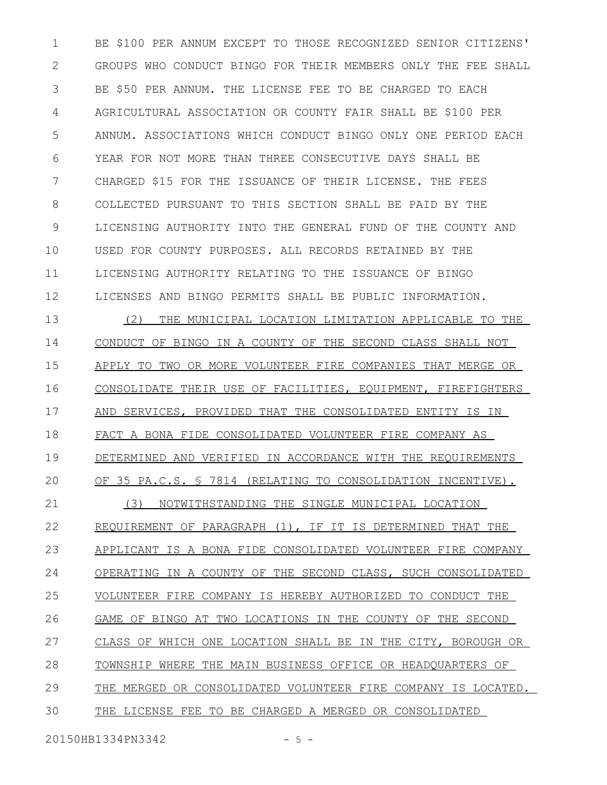BE \$100 PER ANNUM EXCEPT TO THOSE RECOGNIZED SENIOR CITIZENS' GROUPS WHO CONDUCT BINGO FOR THEIR MEMBERS ONLY THE FEE SHALL BE \$50 PER ANNUM. THE LICENSE FEE TO BE CHARGED TO EACH AGRICULTURAL ASSOCIATION OR COUNTY FAIR SHALL BE \$100 PER ANNUM. ASSOCIATIONS WHICH CONDUCT BINGO ONLY ONE PERIOD EACH YEAR FOR NOT MORE THAN THREE CONSECUTIVE DAYS SHALL BE CHARGED \$15 FOR THE ISSUANCE OF THEIR LICENSE. THE FEES COLLECTED PURSUANT TO THIS SECTION SHALL BE PAID BY THE LICENSING AUTHORITY INTO THE GENERAL FUND OF THE COUNTY AND USED FOR COUNTY PURPOSES. ALL RECORDS RETAINED BY THE LICENSING AUTHORITY RELATING TO THE ISSUANCE OF BINGO LICENSES AND BINGO PERMITS SHALL BE PUBLIC INFORMATION. 1 2 3 4 5 6 7 8 9 10 11 12

(2) THE MUNICIPAL LOCATION LIMITATION APPLICABLE TO THE CONDUCT OF BINGO IN A COUNTY OF THE SECOND CLASS SHALL NOT APPLY TO TWO OR MORE VOLUNTEER FIRE COMPANIES THAT MERGE OR CONSOLIDATE THEIR USE OF FACILITIES, EQUIPMENT, FIREFIGHTERS AND SERVICES, PROVIDED THAT THE CONSOLIDATED ENTITY IS IN FACT A BONA FIDE CONSOLIDATED VOLUNTEER FIRE COMPANY AS DETERMINED AND VERIFIED IN ACCORDANCE WITH THE REQUIREMENTS OF 35 PA.C.S. § 7814 (RELATING TO CONSOLIDATION INCENTIVE). (3) NOTWITHSTANDING THE SINGLE MUNICIPAL LOCATION REQUIREMENT OF PARAGRAPH (1), IF IT IS DETERMINED THAT THE APPLICANT IS A BONA FIDE CONSOLIDATED VOLUNTEER FIRE COMPANY OPERATING IN A COUNTY OF THE SECOND CLASS, SUCH CONSOLIDATED VOLUNTEER FIRE COMPANY IS HEREBY AUTHORIZED TO CONDUCT THE GAME OF BINGO AT TWO LOCATIONS IN THE COUNTY OF THE SECOND CLASS OF WHICH ONE LOCATION SHALL BE IN THE CITY, BOROUGH OR TOWNSHIP WHERE THE MAIN BUSINESS OFFICE OR HEADQUARTERS OF THE MERGED OR CONSOLIDATED VOLUNTEER FIRE COMPANY IS LOCATED. THE LICENSE FEE TO BE CHARGED A MERGED OR CONSOLIDATED 13 14 15 16 17 18 19 20 21 22 23 24 25 26 27 28 29 30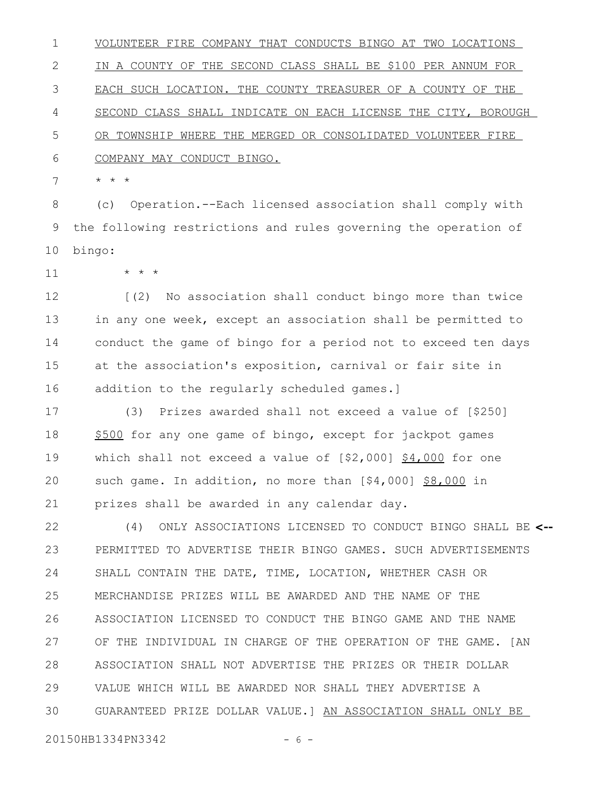VOLUNTEER FIRE COMPANY THAT CONDUCTS BINGO AT TWO LOCATIONS IN A COUNTY OF THE SECOND CLASS SHALL BE \$100 PER ANNUM FOR EACH SUCH LOCATION. THE COUNTY TREASURER OF A COUNTY OF THE SECOND CLASS SHALL INDICATE ON EACH LICENSE THE CITY, BOROUGH OR TOWNSHIP WHERE THE MERGED OR CONSOLIDATED VOLUNTEER FIRE COMPANY MAY CONDUCT BINGO. 1 2 3 4 5 6

\* \* \* 7

(c) Operation.--Each licensed association shall comply with the following restrictions and rules governing the operation of bingo: 8 9 10

11

\* \* \*

[(2) No association shall conduct bingo more than twice in any one week, except an association shall be permitted to conduct the game of bingo for a period not to exceed ten days at the association's exposition, carnival or fair site in addition to the regularly scheduled games.] 12 13 14 15 16

(3) Prizes awarded shall not exceed a value of [\$250] \$500 for any one game of bingo, except for jackpot games which shall not exceed a value of  $[$2,000]$   $$4,000$  for one such game. In addition, no more than [\$4,000] \$8,000 in prizes shall be awarded in any calendar day. 17 18 19 20 21

(4) ONLY ASSOCIATIONS LICENSED TO CONDUCT BINGO SHALL BE **<--** PERMITTED TO ADVERTISE THEIR BINGO GAMES. SUCH ADVERTISEMENTS SHALL CONTAIN THE DATE, TIME, LOCATION, WHETHER CASH OR MERCHANDISE PRIZES WILL BE AWARDED AND THE NAME OF THE ASSOCIATION LICENSED TO CONDUCT THE BINGO GAME AND THE NAME OF THE INDIVIDUAL IN CHARGE OF THE OPERATION OF THE GAME. [AN ASSOCIATION SHALL NOT ADVERTISE THE PRIZES OR THEIR DOLLAR VALUE WHICH WILL BE AWARDED NOR SHALL THEY ADVERTISE A GUARANTEED PRIZE DOLLAR VALUE.] AN ASSOCIATION SHALL ONLY BE 22 23 24 25 26 27 28 29 30

20150HB1334PN3342 - 6 -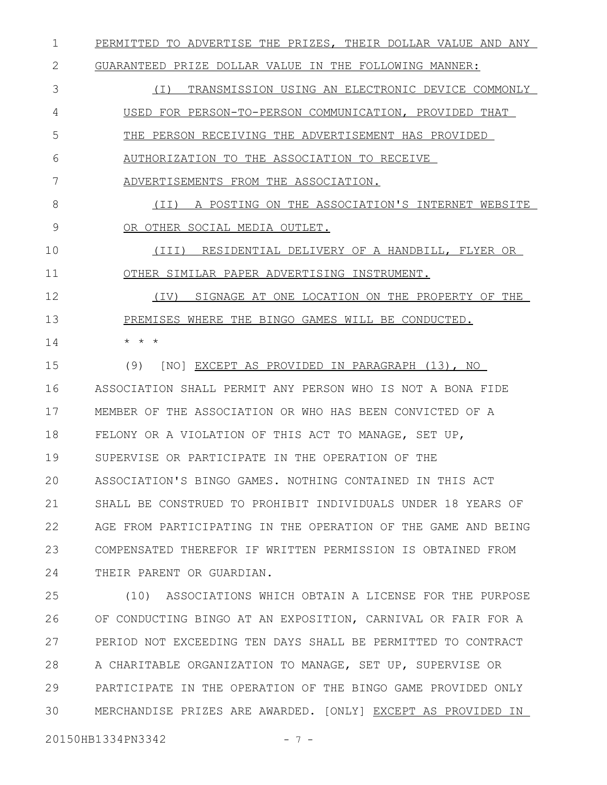PERMITTED TO ADVERTISE THE PRIZES, THEIR DOLLAR VALUE AND ANY 1

GUARANTEED PRIZE DOLLAR VALUE IN THE FOLLOWING MANNER: 2

(I) TRANSMISSION USING AN ELECTRONIC DEVICE COMMONLY USED FOR PERSON-TO-PERSON COMMUNICATION, PROVIDED THAT THE PERSON RECEIVING THE ADVERTISEMENT HAS PROVIDED AUTHORIZATION TO THE ASSOCIATION TO RECEIVE 3 4 5 6

ADVERTISEMENTS FROM THE ASSOCIATION. 7

(II) A POSTING ON THE ASSOCIATION'S INTERNET WEBSITE OR OTHER SOCIAL MEDIA OUTLET. 8 9

(III) RESIDENTIAL DELIVERY OF A HANDBILL, FLYER OR OTHER SIMILAR PAPER ADVERTISING INSTRUMENT. 10 11

(IV) SIGNAGE AT ONE LOCATION ON THE PROPERTY OF THE PREMISES WHERE THE BINGO GAMES WILL BE CONDUCTED. \* \* \* 12 13 14

(9) [NO] EXCEPT AS PROVIDED IN PARAGRAPH (13), NO ASSOCIATION SHALL PERMIT ANY PERSON WHO IS NOT A BONA FIDE MEMBER OF THE ASSOCIATION OR WHO HAS BEEN CONVICTED OF A FELONY OR A VIOLATION OF THIS ACT TO MANAGE, SET UP, SUPERVISE OR PARTICIPATE IN THE OPERATION OF THE ASSOCIATION'S BINGO GAMES. NOTHING CONTAINED IN THIS ACT SHALL BE CONSTRUED TO PROHIBIT INDIVIDUALS UNDER 18 YEARS OF AGE FROM PARTICIPATING IN THE OPERATION OF THE GAME AND BEING COMPENSATED THEREFOR IF WRITTEN PERMISSION IS OBTAINED FROM THEIR PARENT OR GUARDIAN. 15 16 17 18 19 20 21 22 23 24

(10) ASSOCIATIONS WHICH OBTAIN A LICENSE FOR THE PURPOSE OF CONDUCTING BINGO AT AN EXPOSITION, CARNIVAL OR FAIR FOR A PERIOD NOT EXCEEDING TEN DAYS SHALL BE PERMITTED TO CONTRACT A CHARITABLE ORGANIZATION TO MANAGE, SET UP, SUPERVISE OR PARTICIPATE IN THE OPERATION OF THE BINGO GAME PROVIDED ONLY MERCHANDISE PRIZES ARE AWARDED. [ONLY] EXCEPT AS PROVIDED IN 25 26 27 28 29 30

20150HB1334PN3342 - 7 -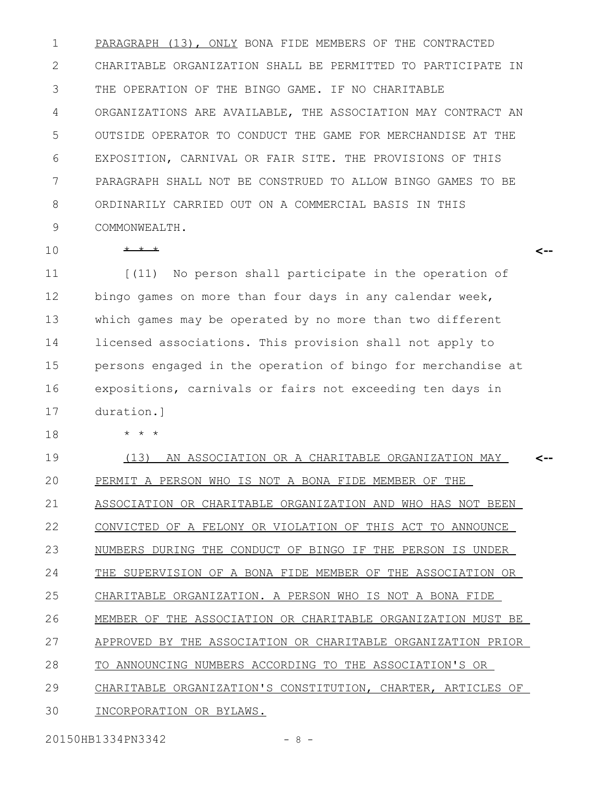PARAGRAPH (13), ONLY BONA FIDE MEMBERS OF THE CONTRACTED CHARITABLE ORGANIZATION SHALL BE PERMITTED TO PARTICIPATE IN THE OPERATION OF THE BINGO GAME. IF NO CHARITABLE ORGANIZATIONS ARE AVAILABLE, THE ASSOCIATION MAY CONTRACT AN OUTSIDE OPERATOR TO CONDUCT THE GAME FOR MERCHANDISE AT THE EXPOSITION, CARNIVAL OR FAIR SITE. THE PROVISIONS OF THIS PARAGRAPH SHALL NOT BE CONSTRUED TO ALLOW BINGO GAMES TO BE ORDINARILY CARRIED OUT ON A COMMERCIAL BASIS IN THIS COMMONWEALTH. 1 2 3 4 5 6 7 8 9

10

18

\* \* \*

[(11) No person shall participate in the operation of bingo games on more than four days in any calendar week, which games may be operated by no more than two different licensed associations. This provision shall not apply to persons engaged in the operation of bingo for merchandise at expositions, carnivals or fairs not exceeding ten days in duration.] 11 12 13 14 15 16 17

**<--**

\* \* \*

(13) AN ASSOCIATION OR A CHARITABLE ORGANIZATION MAY PERMIT A PERSON WHO IS NOT A BONA FIDE MEMBER OF THE ASSOCIATION OR CHARITABLE ORGANIZATION AND WHO HAS NOT BEEN CONVICTED OF A FELONY OR VIOLATION OF THIS ACT TO ANNOUNCE NUMBERS DURING THE CONDUCT OF BINGO IF THE PERSON IS UNDER THE SUPERVISION OF A BONA FIDE MEMBER OF THE ASSOCIATION OR CHARITABLE ORGANIZATION. A PERSON WHO IS NOT A BONA FIDE MEMBER OF THE ASSOCIATION OR CHARITABLE ORGANIZATION MUST BE APPROVED BY THE ASSOCIATION OR CHARITABLE ORGANIZATION PRIOR TO ANNOUNCING NUMBERS ACCORDING TO THE ASSOCIATION'S OR CHARITABLE ORGANIZATION'S CONSTITUTION, CHARTER, ARTICLES OF INCORPORATION OR BYLAWS. **<--** 19 20 21 22 23 24 25 26 27 28 29 30

20150HB1334PN3342 - 8 -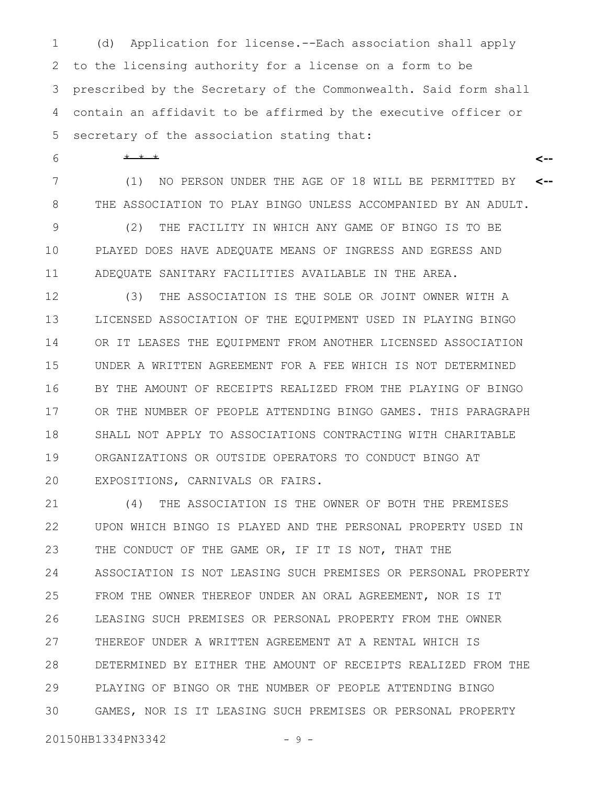(d) Application for license.--Each association shall apply to the licensing authority for a license on a form to be prescribed by the Secretary of the Commonwealth. Said form shall contain an affidavit to be affirmed by the executive officer or secretary of the association stating that: 1 2 3 4 5

\* \* \* 6

(1) NO PERSON UNDER THE AGE OF 18 WILL BE PERMITTED BY THE ASSOCIATION TO PLAY BINGO UNLESS ACCOMPANIED BY AN ADULT. **<--** 7 8

**<--**

(2) THE FACILITY IN WHICH ANY GAME OF BINGO IS TO BE PLAYED DOES HAVE ADEQUATE MEANS OF INGRESS AND EGRESS AND ADEQUATE SANITARY FACILITIES AVAILABLE IN THE AREA. 9 10 11

(3) THE ASSOCIATION IS THE SOLE OR JOINT OWNER WITH A LICENSED ASSOCIATION OF THE EQUIPMENT USED IN PLAYING BINGO OR IT LEASES THE EQUIPMENT FROM ANOTHER LICENSED ASSOCIATION UNDER A WRITTEN AGREEMENT FOR A FEE WHICH IS NOT DETERMINED BY THE AMOUNT OF RECEIPTS REALIZED FROM THE PLAYING OF BINGO OR THE NUMBER OF PEOPLE ATTENDING BINGO GAMES. THIS PARAGRAPH SHALL NOT APPLY TO ASSOCIATIONS CONTRACTING WITH CHARITABLE ORGANIZATIONS OR OUTSIDE OPERATORS TO CONDUCT BINGO AT EXPOSITIONS, CARNIVALS OR FAIRS. 12 13 14 15 16 17 18 19 20

(4) THE ASSOCIATION IS THE OWNER OF BOTH THE PREMISES UPON WHICH BINGO IS PLAYED AND THE PERSONAL PROPERTY USED IN THE CONDUCT OF THE GAME OR, IF IT IS NOT, THAT THE ASSOCIATION IS NOT LEASING SUCH PREMISES OR PERSONAL PROPERTY FROM THE OWNER THEREOF UNDER AN ORAL AGREEMENT, NOR IS IT LEASING SUCH PREMISES OR PERSONAL PROPERTY FROM THE OWNER THEREOF UNDER A WRITTEN AGREEMENT AT A RENTAL WHICH IS DETERMINED BY EITHER THE AMOUNT OF RECEIPTS REALIZED FROM THE PLAYING OF BINGO OR THE NUMBER OF PEOPLE ATTENDING BINGO GAMES, NOR IS IT LEASING SUCH PREMISES OR PERSONAL PROPERTY 21 22 23 24 25 26 27 28 29 30

20150HB1334PN3342 - 9 -